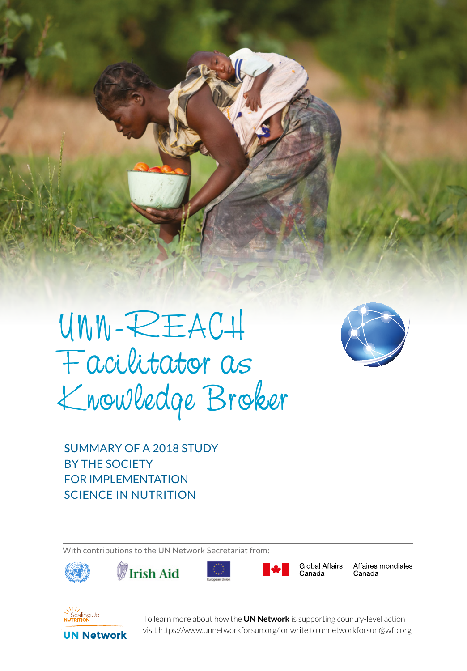

SERIES 1 UN NETWORK TALES 1 UN NETWORK TALES 1



SUMMARY OF A 2018 STUDY BY THE SOCIETY FOR IMPLEMENTATION SCIENCE IN NUTRITION

With contributions to the UN Network Secretariat from:









Global Affairs Canada

Affaires mondiales Canada



**1** To learn more about how the **UN Network** is supporting country-level action visit https://www.unnetworkforsun.org/ or write to unnetworkforsun@wfp.org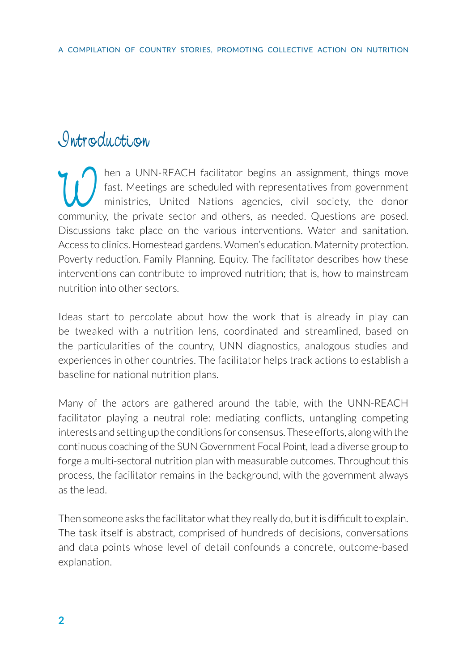## *Introduction*

Then a UNN-REACH facilitator begins an assignment, things move<br>fast. Meetings are scheduled with representatives from government<br>ministries, United Nations agencies, civil society, the donor<br>community the private sector an fast. Meetings are scheduled with representatives from government ministries, United Nations agencies, civil society, the donor community, the private sector and others, as needed. Questions are posed. Discussions take place on the various interventions. Water and sanitation. Access to clinics. Homestead gardens. Women's education. Maternity protection. Poverty reduction. Family Planning. Equity. The facilitator describes how these interventions can contribute to improved nutrition; that is, how to mainstream nutrition into other sectors.

Ideas start to percolate about how the work that is already in play can be tweaked with a nutrition lens, coordinated and streamlined, based on the particularities of the country, UNN diagnostics, analogous studies and experiences in other countries. The facilitator helps track actions to establish a baseline for national nutrition plans.

Many of the actors are gathered around the table, with the UNN-REACH facilitator playing a neutral role: mediating conflicts, untangling competing interests and setting up the conditions for consensus. These efforts, along with the continuous coaching of the SUN Government Focal Point, lead a diverse group to forge a multi-sectoral nutrition plan with measurable outcomes. Throughout this process, the facilitator remains in the background, with the government always as the lead.

Then someone asks the facilitator what they really do, but it is difficult to explain. The task itself is abstract, comprised of hundreds of decisions, conversations and data points whose level of detail confounds a concrete, outcome-based explanation.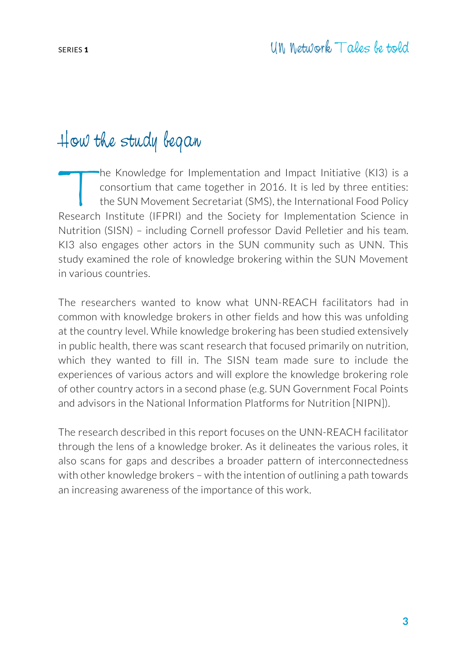## How the study began

The Knowledge for Implementation and Impact Initiative (KI3) is a<br>consortium that came together in 2016. It is led by three entities:<br>the SUN Movement Secretariat (SMS), the International Food Policy<br>Research Institute (IF consortium that came together in 2016. It is led by three entities: the SUN Movement Secretariat (SMS), the International Food Policy Research Institute (IFPRI) and the Society for Implementation Science in Nutrition (SISN) – including Cornell professor David Pelletier and his team. KI3 also engages other actors in the SUN community such as UNN. This study examined the role of knowledge brokering within the SUN Movement in various countries.

The researchers wanted to know what UNN-REACH facilitators had in common with knowledge brokers in other fields and how this was unfolding at the country level. While knowledge brokering has been studied extensively in public health, there was scant research that focused primarily on nutrition, which they wanted to fill in. The SISN team made sure to include the experiences of various actors and will explore the knowledge brokering role of other country actors in a second phase (e.g. SUN Government Focal Points and advisors in the National Information Platforms for Nutrition [NIPN]).

The research described in this report focuses on the UNN-REACH facilitator through the lens of a knowledge broker. As it delineates the various roles, it also scans for gaps and describes a broader pattern of interconnectedness with other knowledge brokers – with the intention of outlining a path towards an increasing awareness of the importance of this work.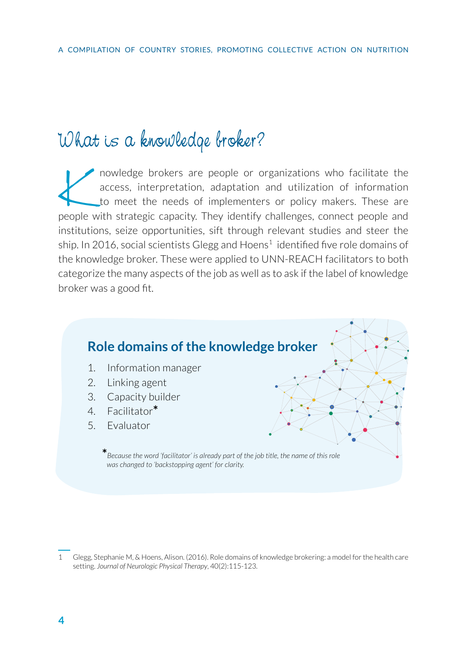# What is a knowledge broker?

nowledge brokers are people or organizations who facilitate the access, interpretation, adaptation and utilization of information to meet the needs of implementers or policy makers. These are people with strategic capacity. They identify challenges, connect people and institutions, seize opportunities, sift through relevant studies and steer the ship. In 2016, social scientists Glegg and Hoens $^1$  identified five role domains of the knowledge broker. These were applied to UNN-REACH facilitators to both categorize the many aspects of the job as well as to ask if the label of knowledge broker was a good fit.



<sup>1</sup> Glegg, Stephanie M, & Hoens, Alison. (2016). Role domains of knowledge brokering: a model for the health care setting. *Journal of Neurologic Physical Therapy*, 40(2):115-123.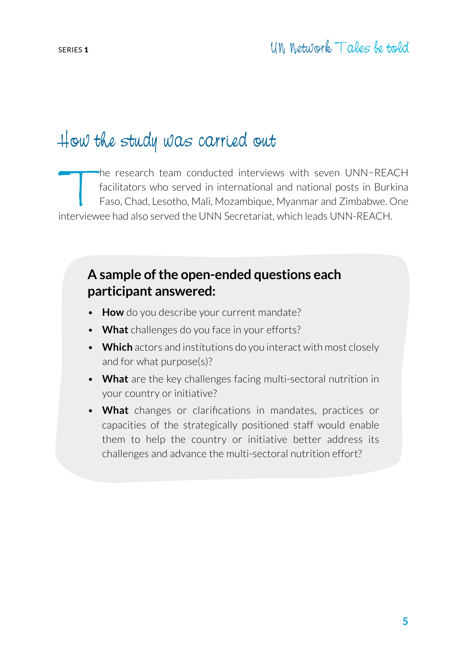## How the study was carried out

The research team conducted interviews with seven UNN−REACH<br>
facilitators who served in international and national posts in Burkina<br>
Faso, Chad, Lesotho, Mali, Mozambique, Myanmar and Zimbabwe. One<br>
nterviewee had also ser facilitators who served in international and national posts in Burkina Faso, Chad, Lesotho, Mali, Mozambique, Myanmar and Zimbabwe. One interviewee had also served the UNN Secretariat, which leads UNN-REACH.

#### **A sample of the open-ended questions each participant answered:**

- **How** do you describe your current mandate?
- **What** challenges do you face in your efforts?
- **Which** actors and institutions do you interact with most closely and for what purpose(s)?
- **What** are the key challenges facing multi-sectoral nutrition in your country or initiative?
- **What** changes or clarifications in mandates, practices or capacities of the strategically positioned staff would enable them to help the country or initiative better address its challenges and advance the multi-sectoral nutrition effort?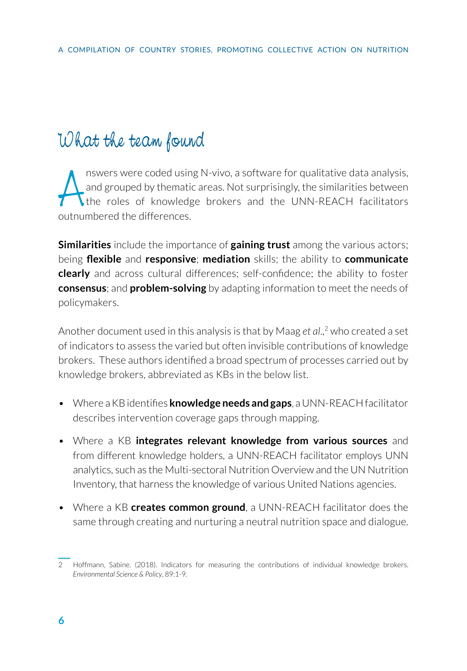## What the team found

A nswers were coded usin<br>
and grouped by themation<br>
the roles of knowled<br>
outnumbered the differences. nswers were coded using N-vivo, a software for qualitative data analysis, and grouped by thematic areas. Not surprisingly, the similarities between the roles of knowledge brokers and the UNN-REACH facilitators

**Similarities** include the importance of **gaining trust** among the various actors; being **flexible** and **responsive**; **mediation** skills; the ability to **communicate clearly** and across cultural differences; self-confidence; the ability to foster **consensus**; and **problem-solving** by adapting information to meet the needs of policymakers.

Another document used in this analysis is that by Maag *et al*.,<sup>2</sup> who created a set of indicators to assess the varied but often invisible contributions of knowledge brokers. These authors identified a broad spectrum of processes carried out by knowledge brokers, abbreviated as KBs in the below list.

- Where a KB identifies **knowledge needs and gaps**, a UNN-REACH facilitator describes intervention coverage gaps through mapping.
- Where a KB **integrates relevant knowledge from various sources** and from different knowledge holders, a UNN-REACH facilitator employs UNN analytics, such as the Multi-sectoral Nutrition Overview and the UN Nutrition Inventory, that harness the knowledge of various United Nations agencies.
- Where a KB **creates common ground**, a UNN-REACH facilitator does the same through creating and nurturing a neutral nutrition space and dialogue.

<sup>2</sup> Hoffmann, Sabine. (2018). Indicators for measuring the contributions of individual knowledge brokers. *Environmental Science & Policy*, 89:1-9.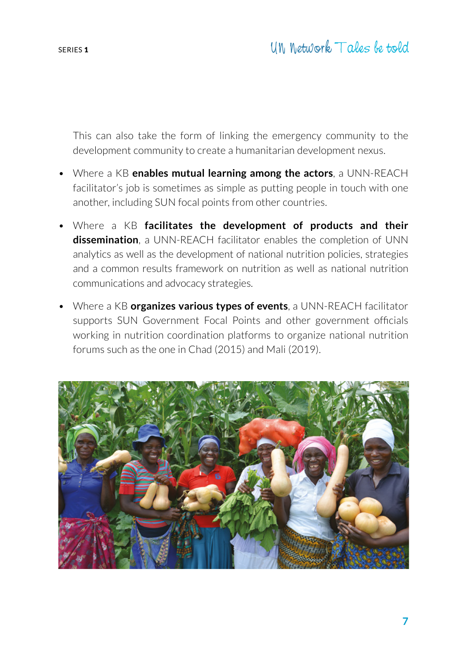This can also take the form of linking the emergency community to the development community to create a humanitarian development nexus.

- Where a KB **enables mutual learning among the actors**, a UNN-REACH facilitator's job is sometimes as simple as putting people in touch with one another, including SUN focal points from other countries.
- Where a KB **facilitates the development of products and their dissemination**, a UNN-REACH facilitator enables the completion of UNN analytics as well as the development of national nutrition policies, strategies and a common results framework on nutrition as well as national nutrition communications and advocacy strategies.
- Where a KB **organizes various types of events**, a UNN-REACH facilitator supports SUN Government Focal Points and other government officials working in nutrition coordination platforms to organize national nutrition forums such as the one in Chad (2015) and Mali (2019).

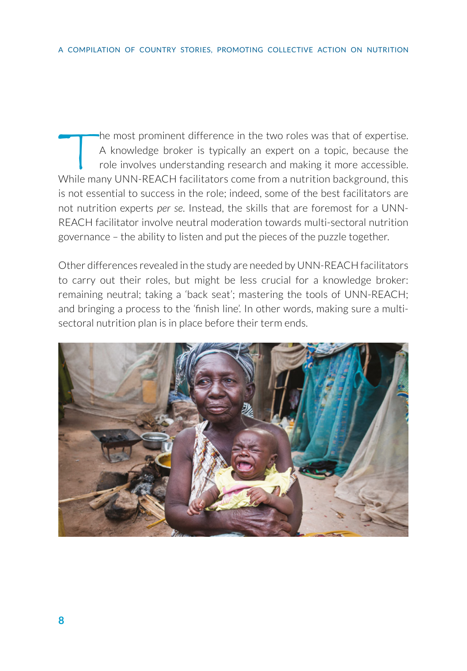The most prominent difference in the two roles was that of expertise.<br>A knowledge broker is typically an expert on a topic, because the<br>role involves understanding research and making it more accessible.<br>While many UNN-REA A knowledge broker is typically an expert on a topic, because the role involves understanding research and making it more accessible. While many UNN-REACH facilitators come from a nutrition background, this is not essential to success in the role; indeed, some of the best facilitators are not nutrition experts *per se*. Instead, the skills that are foremost for a UNN-REACH facilitator involve neutral moderation towards multi-sectoral nutrition governance – the ability to listen and put the pieces of the puzzle together.

Other differences revealed in the study are needed by UNN-REACH facilitators to carry out their roles, but might be less crucial for a knowledge broker: remaining neutral; taking a 'back seat'; mastering the tools of UNN-REACH; and bringing a process to the 'finish line'. In other words, making sure a multisectoral nutrition plan is in place before their term ends.